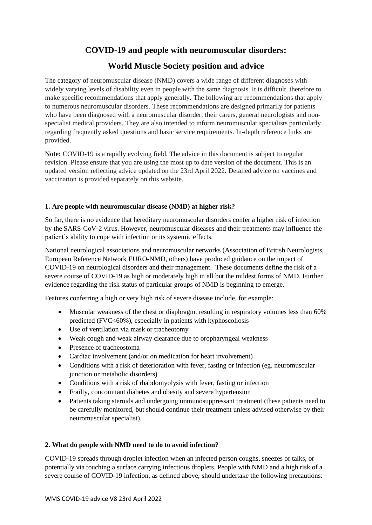# **COVID-19 and people with neuromuscular disorders:**

# **World Muscle Society position and advice**

The category of neuromuscular disease (NMD) covers a wide range of different diagnoses with widely varying levels of disability even in people with the same diagnosis. It is difficult, therefore to make specific recommendations that apply generally. The following are recommendations that apply to numerous neuromuscular disorders. These recommendations are designed primarily for patients who have been diagnosed with a neuromuscular disorder, their carers, general neurologists and nonspecialist medical providers. They are also intended to inform neuromuscular specialists particularly regarding frequently asked questions and basic service requirements. In-depth reference links are provided.

**Note:** COVID-19 is a rapidly evolving field. The advice in this document is subject to regular revision. Please ensure that you are using the most up to date version of the document. This is an updated version reflecting advice updated on the 23rd April 2022. Detailed advice on vaccines and vaccination is provided separately on this website.

## **1. Are people with neuromuscular disease (NMD) at higher risk?**

So far, there is no evidence that hereditary neuromuscular disorders confer a higher risk of infection by the SARS-CoV-2 virus. However, neuromuscular diseases and their treatments may influence the patient's ability to cope with infection or its systemic effects.

National neurological associations and neuromuscular networks (Association of British Neurologists, European Reference Network EURO-NMD, others) have produced guidance on the impact of COVID-19 on neurological disorders and their management. These documents define the risk of a severe course of COVID-19 as high or moderately high in all but the mildest forms of NMD. Further evidence regarding the risk status of particular groups of NMD is beginning to emerge.

Features conferring a high or very high risk of severe disease include, for example:

- Muscular weakness of the chest or diaphragm, resulting in respiratory volumes less than 60% predicted (FVC<60%), especially in patients with kyphoscoliosis
- Use of ventilation via mask or tracheotomy
- Weak cough and weak airway clearance due to oropharyngeal weakness
- Presence of tracheostoma
- Cardiac involvement (and/or on medication for heart involvement)
- Conditions with a risk of deterioration with fever, fasting or infection (eg. neuromuscular junction or metabolic disorders)
- Conditions with a risk of rhabdomyolysis with fever, fasting or infection
- Frailty, concomitant diabetes and obesity and severe hypertension
- Patients taking steroids and undergoing immunosuppressant treatment (these patients need to be carefully monitored, but should continue their treatment unless advised otherwise by their neuromuscular specialist).

## **2. What do people with NMD need to do to avoid infection?**

COVID-19 spreads through droplet infection when an infected person coughs, sneezes or talks, or potentially via touching a surface carrying infectious droplets. People with NMD and a high risk of a severe course of COVID-19 infection, as defined above, should undertake the following precautions: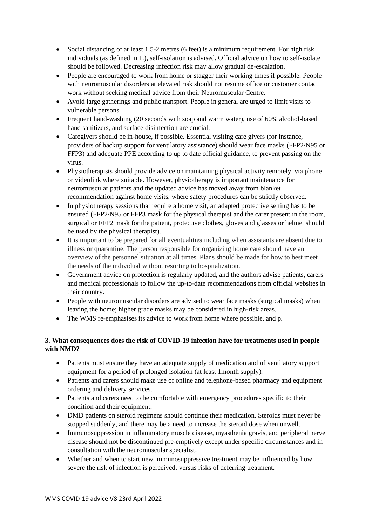- Social distancing of at least 1.5-2 metres (6 feet) is a minimum requirement. For high risk individuals (as defined in 1.), self-isolation is advised. Official advice on how to self-isolate should be followed. Decreasing infection risk may allow gradual de-escalation.
- People are encouraged to work from home or stagger their working times if possible. People with neuromuscular disorders at elevated risk should not resume office or customer contact work without seeking medical advice from their Neuromuscular Centre.
- Avoid large gatherings and public transport. People in general are urged to limit visits to vulnerable persons.
- Frequent hand-washing (20 seconds with soap and warm water), use of 60% alcohol-based hand sanitizers, and surface disinfection are crucial.
- Caregivers should be in-house, if possible. Essential visiting care givers (for instance, providers of backup support for ventilatory assistance) should wear face masks (FFP2/N95 or FFP3) and adequate PPE according to up to date official guidance, to prevent passing on the virus.
- Physiotherapists should provide advice on maintaining physical activity remotely, via phone or videolink where suitable. However, physiotherapy is important maintenance for neuromuscular patients and the updated advice has moved away from blanket recommendation against home visits, where safety procedures can be strictly observed.
- In physiotherapy sessions that require a home visit, an adapted protective setting has to be ensured (FFP2/N95 or FFP3 mask for the physical therapist and the carer present in the room, surgical or FFP2 mask for the patient, protective clothes, gloves and glasses or helmet should be used by the physical therapist).
- It is important to be prepared for all eventualities including when assistants are absent due to illness or quarantine. The person responsible for organizing home care should have an overview of the personnel situation at all times. Plans should be made for how to best meet the needs of the individual without resorting to hospitalization.
- Government advice on protection is regularly updated, and the authors advise patients, carers and medical professionals to follow the up-to-date recommendations from official websites in their country.
- People with neuromuscular disorders are advised to wear face masks (surgical masks) when leaving the home; higher grade masks may be considered in high-risk areas.
- The WMS re-emphasises its advice to work from home where possible, and p.

# **3. What consequences does the risk of COVID-19 infection have for treatments used in people with NMD?**

- Patients must ensure they have an adequate supply of medication and of ventilatory support equipment for a period of prolonged isolation (at least 1month supply).
- Patients and carers should make use of online and telephone-based pharmacy and equipment ordering and delivery services.
- Patients and carers need to be comfortable with emergency procedures specific to their condition and their equipment.
- DMD patients on steroid regimens should continue their medication. Steroids must never be stopped suddenly, and there may be a need to increase the steroid dose when unwell.
- Immunosuppression in inflammatory muscle disease, myasthenia gravis, and peripheral nerve disease should not be discontinued pre-emptively except under specific circumstances and in consultation with the neuromuscular specialist.
- Whether and when to start new immunosuppressive treatment may be influenced by how severe the risk of infection is perceived, versus risks of deferring treatment.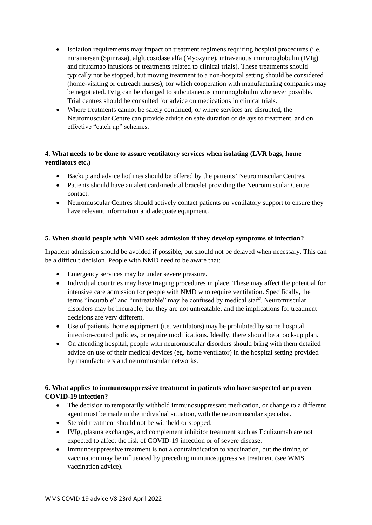- Isolation requirements may impact on treatment regimens requiring hospital procedures (i.e. nursinersen (Spinraza), alglucosidase alfa (Myozyme), intravenous immunoglobulin (IVIg) and rituximab infusions or treatments related to clinical trials). These treatments should typically not be stopped, but moving treatment to a non-hospital setting should be considered (home-visiting or outreach nurses), for which cooperation with manufacturing companies may be negotiated. IVIg can be changed to subcutaneous immunoglobulin whenever possible. Trial centres should be consulted for advice on medications in clinical trials.
- Where treatments cannot be safely continued, or where services are disrupted, the Neuromuscular Centre can provide advice on safe duration of delays to treatment, and on effective "catch up" schemes.

# **4. What needs to be done to assure ventilatory services when isolating (LVR bags, home ventilators etc.)**

- Backup and advice hotlines should be offered by the patients' Neuromuscular Centres.
- Patients should have an alert card/medical bracelet providing the Neuromuscular Centre contact.
- Neuromuscular Centres should actively contact patients on ventilatory support to ensure they have relevant information and adequate equipment.

# **5. When should people with NMD seek admission if they develop symptoms of infection?**

Inpatient admission should be avoided if possible, but should not be delayed when necessary. This can be a difficult decision. People with NMD need to be aware that:

- Emergency services may be under severe pressure.
- Individual countries may have triaging procedures in place. These may affect the potential for intensive care admission for people with NMD who require ventilation. Specifically, the terms "incurable" and "untreatable" may be confused by medical staff. Neuromuscular disorders may be incurable, but they are not untreatable, and the implications for treatment decisions are very different.
- Use of patients' home equipment (i.e. ventilators) may be prohibited by some hospital infection-control policies, or require modifications. Ideally, there should be a back-up plan.
- On attending hospital, people with neuromuscular disorders should bring with them detailed advice on use of their medical devices (eg. home ventilator) in the hospital setting provided by manufacturers and neuromuscular networks.

## **6. What applies to immunosuppressive treatment in patients who have suspected or proven COVID-19 infection?**

- The decision to temporarily withhold immunosuppressant medication, or change to a different agent must be made in the individual situation, with the neuromuscular specialist.
- Steroid treatment should not be withheld or stopped.
- IVIg, plasma exchanges, and complement inhibitor treatment such as Eculizumab are not expected to affect the risk of COVID-19 infection or of severe disease.
- Immunosuppressive treatment is not a contraindication to vaccination, but the timing of vaccination may be influenced by preceding immunosuppressive treatment (see WMS vaccination advice).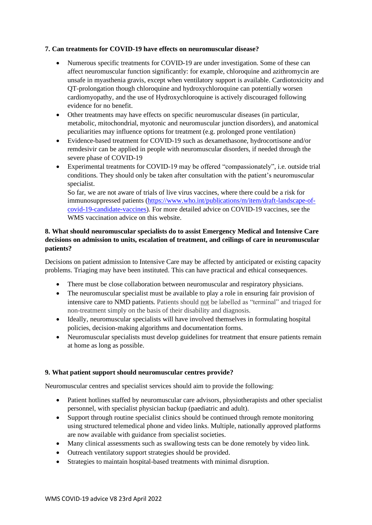#### **7. Can treatments for COVID-19 have effects on neuromuscular disease?**

- Numerous specific treatments for COVID-19 are under investigation. Some of these can affect neuromuscular function significantly: for example, chloroquine and azithromycin are unsafe in myasthenia gravis, except when ventilatory support is available. Cardiotoxicity and QT-prolongation though chloroquine and hydroxychloroquine can potentially worsen cardiomyopathy, and the use of Hydroxychloroquine is actively discouraged following evidence for no benefit.
- Other treatments may have effects on specific neuromuscular diseases (in particular, metabolic, mitochondrial, myotonic and neuromuscular junction disorders), and anatomical peculiarities may influence options for treatment (e.g. prolonged prone ventilation)
- Evidence-based treatment for COVID-19 such as dexamethasone, hydrocortisone and/or remdesivir can be applied in people with neuromuscular disorders, if needed through the severe phase of COVID-19
- Experimental treatments for COVID-19 may be offered "compassionately", i.e. outside trial conditions. They should only be taken after consultation with the patient's neuromuscular specialist.

So far, we are not aware of trials of live virus vaccines, where there could be a risk for immunosuppressed patients [\(https://www.who.int/publications/m/item/draft-landscape-of](https://www.who.int/publications/m/item/draft-landscape-of-covid-19-candidate-vaccines)[covid-19-candidate-vaccines\)](https://www.who.int/publications/m/item/draft-landscape-of-covid-19-candidate-vaccines). For more detailed advice on COVID-19 vaccines, see the WMS vaccination advice on this website.

## **8. What should neuromuscular specialists do to assist Emergency Medical and Intensive Care decisions on admission to units, escalation of treatment, and ceilings of care in neuromuscular patients?**

Decisions on patient admission to Intensive Care may be affected by anticipated or existing capacity problems. Triaging may have been instituted. This can have practical and ethical consequences.

- There must be close collaboration between neuromuscular and respiratory physicians.
- The neuromuscular specialist must be available to play a role in ensuring fair provision of intensive care to NMD patients. Patients should not be labelled as "terminal" and triaged for non-treatment simply on the basis of their disability and diagnosis.
- Ideally, neuromuscular specialists will have involved themselves in formulating hospital policies, decision-making algorithms and documentation forms.
- Neuromuscular specialists must develop guidelines for treatment that ensure patients remain at home as long as possible.

## **9. What patient support should neuromuscular centres provide?**

Neuromuscular centres and specialist services should aim to provide the following:

- Patient hotlines staffed by neuromuscular care advisors, physiotherapists and other specialist personnel, with specialist physician backup (paediatric and adult).
- Support through routine specialist clinics should be continued through remote monitoring using structured telemedical phone and video links. Multiple, nationally approved platforms are now available with guidance from specialist societies.
- Many clinical assessments such as swallowing tests can be done remotely by video link.
- Outreach ventilatory support strategies should be provided.
- Strategies to maintain hospital-based treatments with minimal disruption.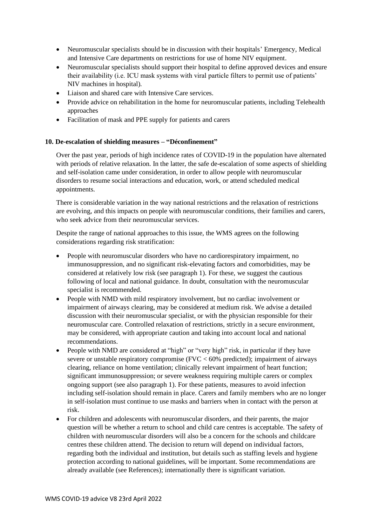- Neuromuscular specialists should be in discussion with their hospitals' Emergency, Medical and Intensive Care departments on restrictions for use of home NIV equipment.
- Neuromuscular specialists should support their hospital to define approved devices and ensure their availability (i.e. ICU mask systems with viral particle filters to permit use of patients' NIV machines in hospital).
- Liaison and shared care with Intensive Care services.
- Provide advice on rehabilitation in the home for neuromuscular patients, including Telehealth approaches
- Facilitation of mask and PPE supply for patients and carers

#### **10. De-escalation of shielding measures – "Déconfinement"**

Over the past year, periods of high incidence rates of COVID-19 in the population have alternated with periods of relative relaxation. In the latter, the safe de-escalation of some aspects of shielding and self-isolation came under consideration, in order to allow people with neuromuscular disorders to resume social interactions and education, work, or attend scheduled medical appointments.

There is considerable variation in the way national restrictions and the relaxation of restrictions are evolving, and this impacts on people with neuromuscular conditions, their families and carers, who seek advice from their neuromuscular services.

Despite the range of national approaches to this issue, the WMS agrees on the following considerations regarding risk stratification:

- People with neuromuscular disorders who have no cardiorespiratory impairment, no immunosuppression, and no significant risk-elevating factors and comorbidities, may be considered at relatively low risk (see paragraph 1). For these, we suggest the cautious following of local and national guidance. In doubt, consultation with the neuromuscular specialist is recommended.
- People with NMD with mild respiratory involvement, but no cardiac involvement or impairment of airways clearing, may be considered at medium risk. We advise a detailed discussion with their neuromuscular specialist, or with the physician responsible for their neuromuscular care. Controlled relaxation of restrictions, strictly in a secure environment, may be considered, with appropriate caution and taking into account local and national recommendations.
- People with NMD are considered at "high" or "very high" risk, in particular if they have severe or unstable respiratory compromise ( $FVC < 60\%$  predicted); impairment of airways clearing, reliance on home ventilation; clinically relevant impairment of heart function; significant immunosuppression; or severe weakness requiring multiple carers or complex ongoing support (see also paragraph 1). For these patients, measures to avoid infection including self-isolation should remain in place. Carers and family members who are no longer in self-isolation must continue to use masks and barriers when in contact with the person at risk.
- For children and adolescents with neuromuscular disorders, and their parents, the major question will be whether a return to school and child care centres is acceptable. The safety of children with neuromuscular disorders will also be a concern for the schools and childcare centres these children attend. The decision to return will depend on individual factors, regarding both the individual and institution, but details such as staffing levels and hygiene protection according to national guidelines, will be important. Some recommendations are already available (see References); internationally there is significant variation.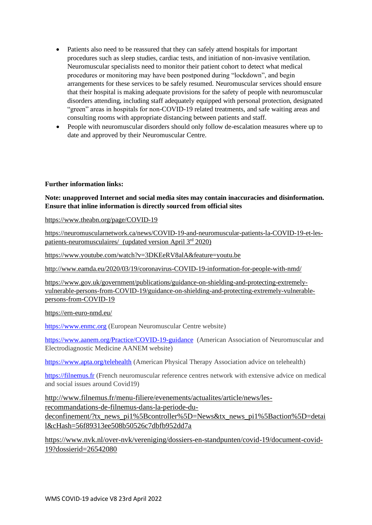- Patients also need to be reassured that they can safely attend hospitals for important procedures such as sleep studies, cardiac tests, and initiation of non-invasive ventilation. Neuromuscular specialists need to monitor their patient cohort to detect what medical procedures or monitoring may have been postponed during "lockdown", and begin arrangements for these services to be safely resumed. Neuromuscular services should ensure that their hospital is making adequate provisions for the safety of people with neuromuscular disorders attending, including staff adequately equipped with personal protection, designated "green" areas in hospitals for non-COVID-19 related treatments, and safe waiting areas and consulting rooms with appropriate distancing between patients and staff.
- People with neuromuscular disorders should only follow de-escalation measures where up to date and approved by their Neuromuscular Centre.

#### **Further information links:**

#### **Note: unapproved Internet and social media sites may contain inaccuracies and disinformation. Ensure that inline information is directly sourced from official sites**

<https://www.theabn.org/page/COVID-19>

[https://neuromuscularnetwork.ca/news/COVID-19-and-neuromuscular-patients-la-COVID-19-et-les](https://neuromuscularnetwork.ca/news/covid-19-and-neuromuscular-patients-la-covid-19-et-les-patients-neuromusculaires/)[patients-neuromusculaires/](https://neuromuscularnetwork.ca/news/covid-19-and-neuromuscular-patients-la-covid-19-et-les-patients-neuromusculaires/) (updated version April 3<sup>rd</sup> 2020)

<https://www.youtube.com/watch?v=3DKEeRV8alA&feature=youtu.be>

[http://www.eamda.eu/2020/03/19/coronavirus-COVID-19-information-for-people-with-nmd/](http://www.eamda.eu/2020/03/19/coronavirus-covid-19-information-for-people-with-nmd/)

[https://www.gov.uk/government/publications/guidance-on-shielding-and-protecting-extremely](https://www.gov.uk/government/publications/guidance-on-shielding-and-protecting-extremely-vulnerable-persons-from-covid-19/guidance-on-shielding-and-protecting-extremely-vulnerable-persons-from-covid-19)[vulnerable-persons-from-COVID-19/guidance-on-shielding-and-protecting-extremely-vulnerable](https://www.gov.uk/government/publications/guidance-on-shielding-and-protecting-extremely-vulnerable-persons-from-covid-19/guidance-on-shielding-and-protecting-extremely-vulnerable-persons-from-covid-19)[persons-from-COVID-19](https://www.gov.uk/government/publications/guidance-on-shielding-and-protecting-extremely-vulnerable-persons-from-covid-19/guidance-on-shielding-and-protecting-extremely-vulnerable-persons-from-covid-19)

<https://ern-euro-nmd.eu/>

[https://www.enmc.org](https://www.enmc.org/) (European Neuromuscular Centre website)

<https://www.aanem.org/Practice/COVID-19-guidance>(American Association of Neuromuscular and Electrodiagnostic Medicine AANEM website)

<https://www.apta.org/telehealth> (American Physical Therapy Association advice on telehealth)

[https://filnemus.fr](https://filnemus.fr/) (French neuromuscular reference centres network with extensive advice on medical and social issues around Covid19)

[http://www.filnemus.fr/menu-filiere/evenements/actualites/article/news/les](http://www.filnemus.fr/menu-filiere/evenements/actualites/article/news/les-recommandations-de-filnemus-dans-la-periode-du-deconfinement/?tx_news_pi1%5Bcontroller%5D=News&tx_news_pi1%5Baction%5D=detail&cHash=56f89313ee508b50526c7dbfb952dd7a)[recommandations-de-filnemus-dans-la-periode-du-](http://www.filnemus.fr/menu-filiere/evenements/actualites/article/news/les-recommandations-de-filnemus-dans-la-periode-du-deconfinement/?tx_news_pi1%5Bcontroller%5D=News&tx_news_pi1%5Baction%5D=detail&cHash=56f89313ee508b50526c7dbfb952dd7a)

[deconfinement/?tx\\_news\\_pi1%5Bcontroller%5D=News&tx\\_news\\_pi1%5Baction%5D=detai](http://www.filnemus.fr/menu-filiere/evenements/actualites/article/news/les-recommandations-de-filnemus-dans-la-periode-du-deconfinement/?tx_news_pi1%5Bcontroller%5D=News&tx_news_pi1%5Baction%5D=detail&cHash=56f89313ee508b50526c7dbfb952dd7a) [l&cHash=56f89313ee508b50526c7dbfb952dd7a](http://www.filnemus.fr/menu-filiere/evenements/actualites/article/news/les-recommandations-de-filnemus-dans-la-periode-du-deconfinement/?tx_news_pi1%5Bcontroller%5D=News&tx_news_pi1%5Baction%5D=detail&cHash=56f89313ee508b50526c7dbfb952dd7a)

[https://www.nvk.nl/over-nvk/vereniging/dossiers-en-standpunten/covid-19/document-covid-](https://www.nvk.nl/over-nvk/vereniging/dossiers-en-standpunten/covid-19/document-covid-19?dossierid=26542080)[19?dossierid=26542080](https://www.nvk.nl/over-nvk/vereniging/dossiers-en-standpunten/covid-19/document-covid-19?dossierid=26542080)